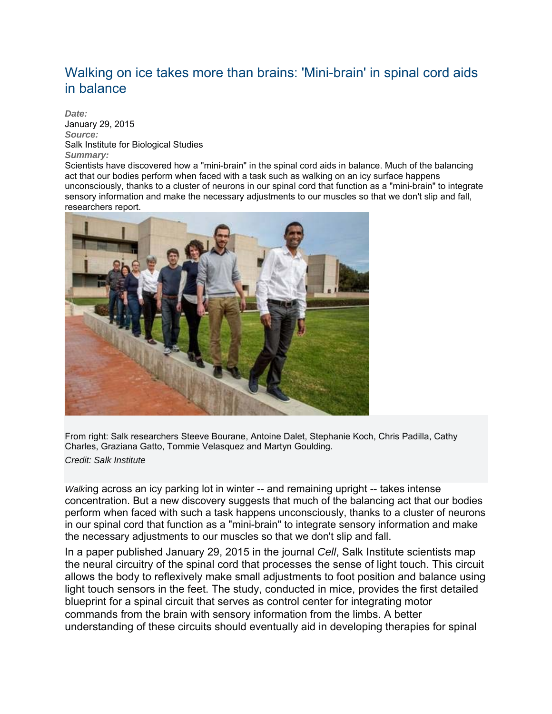## Walking on ice takes more than brains: 'Mini-brain' in spinal cord aids in balance

*Date:* January 29, 2015 *Source:* Salk Institute for Biological Studies *Summary:*

Scientists have discovered how a "mini-brain" in the spinal cord aids in balance. Much of the balancing act that our bodies perform when faced with a task such as walking on an icy surface happens unconsciously, thanks to a cluster of neurons in our spinal cord that function as a "mini-brain" to integrate sensory information and make the necessary adjustments to our muscles so that we don't slip and fall, researchers report.



From right: Salk researchers Steeve Bourane, Antoine Dalet, Stephanie Koch, Chris Padilla, Cathy Charles, Graziana Gatto, Tommie Velasquez and Martyn Goulding.

*Credit: Salk Institute*

*Walk*ing across an icy parking lot in winter -- and remaining upright -- takes intense concentration. But a new discovery suggests that much of the balancing act that our bodies perform when faced with such a task happens unconsciously, thanks to a cluster of neurons in our spinal cord that function as a "mini-brain" to integrate sensory information and make the necessary adjustments to our muscles so that we don't slip and fall.

In a paper published January 29, 2015 in the journal *Cell*, Salk Institute scientists map the neural circuitry of the spinal cord that processes the sense of light touch. This circuit allows the body to reflexively make small adjustments to foot position and balance using light touch sensors in the feet. The study, conducted in mice, provides the first detailed blueprint for a spinal circuit that serves as control center for integrating motor commands from the brain with sensory information from the limbs. A better understanding of these circuits should eventually aid in developing therapies for spinal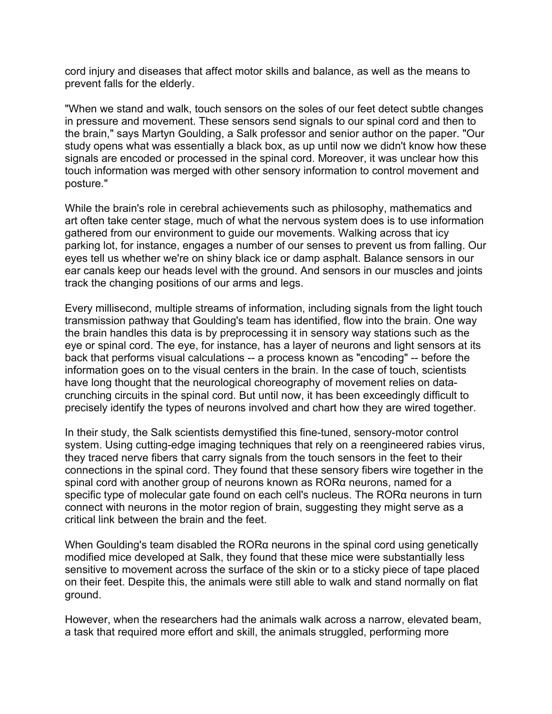cord injury and diseases that affect motor skills and balance, as well as the means to prevent falls for the elderly.

"When we stand and walk, touch sensors on the soles of our feet detect subtle changes in pressure and movement. These sensors send signals to our spinal cord and then to the brain," says Martyn Goulding, a Salk professor and senior author on the paper. "Our study opens what was essentially a black box, as up until now we didn't know how these signals are encoded or processed in the spinal cord. Moreover, it was unclear how this touch information was merged with other sensory information to control movement and posture."

While the brain's role in cerebral achievements such as philosophy, mathematics and art often take center stage, much of what the nervous system does is to use information gathered from our environment to guide our movements. Walking across that icy parking lot, for instance, engages a number of our senses to prevent us from falling. Our eyes tell us whether we're on shiny black ice or damp asphalt. Balance sensors in our ear canals keep our heads level with the ground. And sensors in our muscles and joints track the changing positions of our arms and legs.

Every millisecond, multiple streams of information, including signals from the light touch transmission pathway that Goulding's team has identified, flow into the brain. One way the brain handles this data is by preprocessing it in sensory way stations such as the eye or spinal cord. The eye, for instance, has a layer of neurons and light sensors at its back that performs visual calculations -- a process known as "encoding" -- before the information goes on to the visual centers in the brain. In the case of touch, scientists have long thought that the neurological choreography of movement relies on datacrunching circuits in the spinal cord. But until now, it has been exceedingly difficult to precisely identify the types of neurons involved and chart how they are wired together.

In their study, the Salk scientists demystified this fine-tuned, sensory-motor control system. Using cutting-edge imaging techniques that rely on a reengineered rabies virus, they traced nerve fibers that carry signals from the touch sensors in the feet to their connections in the spinal cord. They found that these sensory fibers wire together in the spinal cord with another group of neurons known as RORα neurons, named for a specific type of molecular gate found on each cell's nucleus. The RORα neurons in turn connect with neurons in the motor region of brain, suggesting they might serve as a critical link between the brain and the feet.

When Goulding's team disabled the RORα neurons in the spinal cord using genetically modified mice developed at Salk, they found that these mice were substantially less sensitive to movement across the surface of the skin or to a sticky piece of tape placed on their feet. Despite this, the animals were still able to walk and stand normally on flat ground.

However, when the researchers had the animals walk across a narrow, elevated beam, a task that required more effort and skill, the animals struggled, performing more